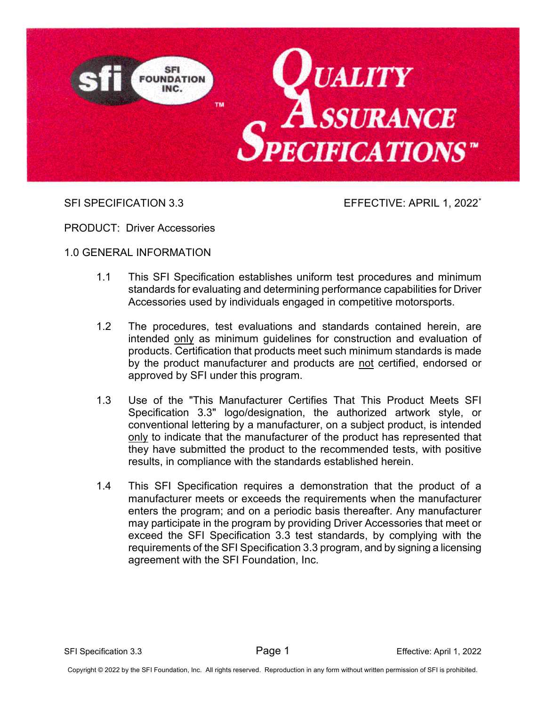

SFI SPECIFICATION 3.3 EFFECTIVE: APRIL 1, 2022<sup>[\\*](#page-14-0)</sup>

PRODUCT: Driver Accessories

1.0 GENERAL INFORMATION

- 1.1 This SFI Specification establishes uniform test procedures and minimum standards for evaluating and determining performance capabilities for Driver Accessories used by individuals engaged in competitive motorsports.
- 1.2 The procedures, test evaluations and standards contained herein, are intended only as minimum guidelines for construction and evaluation of products. Certification that products meet such minimum standards is made by the product manufacturer and products are not certified, endorsed or approved by SFI under this program.
- 1.3 Use of the "This Manufacturer Certifies That This Product Meets SFI Specification 3.3" logo/designation, the authorized artwork style, or conventional lettering by a manufacturer, on a subject product, is intended only to indicate that the manufacturer of the product has represented that they have submitted the product to the recommended tests, with positive results, in compliance with the standards established herein.
- 1.4 This SFI Specification requires a demonstration that the product of a manufacturer meets or exceeds the requirements when the manufacturer enters the program; and on a periodic basis thereafter. Any manufacturer may participate in the program by providing Driver Accessories that meet or exceed the SFI Specification 3.3 test standards, by complying with the requirements of the SFI Specification 3.3 program, and by signing a licensing agreement with the SFI Foundation, Inc.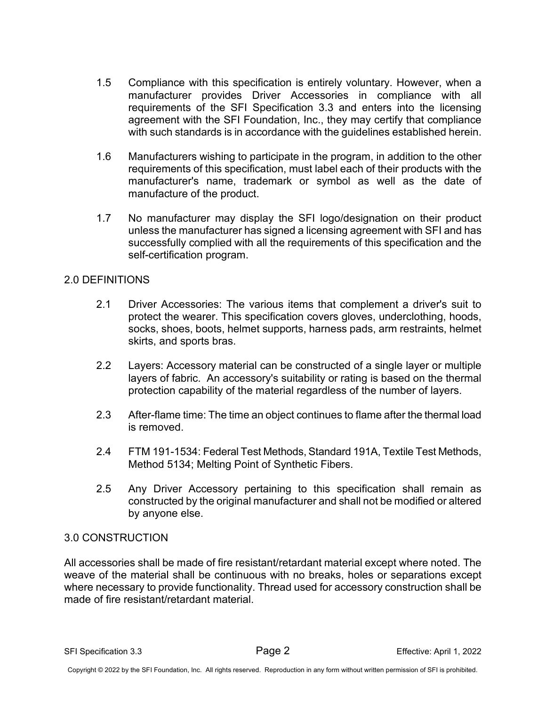- 1.5 Compliance with this specification is entirely voluntary. However, when a manufacturer provides Driver Accessories in compliance with all requirements of the SFI Specification 3.3 and enters into the licensing agreement with the SFI Foundation, Inc., they may certify that compliance with such standards is in accordance with the guidelines established herein.
- 1.6 Manufacturers wishing to participate in the program, in addition to the other requirements of this specification, must label each of their products with the manufacturer's name, trademark or symbol as well as the date of manufacture of the product.
- 1.7 No manufacturer may display the SFI logo/designation on their product unless the manufacturer has signed a licensing agreement with SFI and has successfully complied with all the requirements of this specification and the self-certification program.

# 2.0 DEFINITIONS

- 2.1 Driver Accessories: The various items that complement a driver's suit to protect the wearer. This specification covers gloves, underclothing, hoods, socks, shoes, boots, helmet supports, harness pads, arm restraints, helmet skirts, and sports bras.
- 2.2 Layers: Accessory material can be constructed of a single layer or multiple layers of fabric. An accessory's suitability or rating is based on the thermal protection capability of the material regardless of the number of layers.
- 2.3 After-flame time: The time an object continues to flame after the thermal load is removed.
- 2.4 FTM 191-1534: Federal Test Methods, Standard 191A, Textile Test Methods, Method 5134; Melting Point of Synthetic Fibers.
- 2.5 Any Driver Accessory pertaining to this specification shall remain as constructed by the original manufacturer and shall not be modified or altered by anyone else.

# 3.0 CONSTRUCTION

All accessories shall be made of fire resistant/retardant material except where noted. The weave of the material shall be continuous with no breaks, holes or separations except where necessary to provide functionality. Thread used for accessory construction shall be made of fire resistant/retardant material.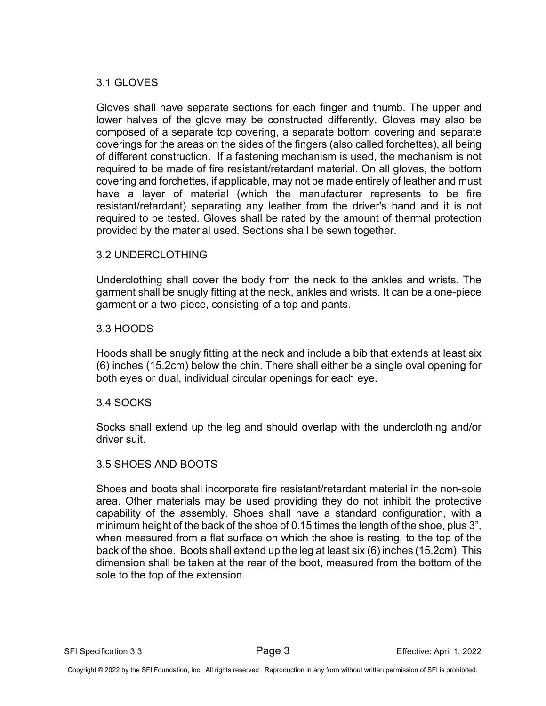# 3.1 GLOVES

Gloves shall have separate sections for each finger and thumb. The upper and lower halves of the glove may be constructed differently. Gloves may also be composed of a separate top covering, a separate bottom covering and separate coverings for the areas on the sides of the fingers (also called forchettes), all being of different construction. If a fastening mechanism is used, the mechanism is not required to be made of fire resistant/retardant material. On all gloves, the bottom covering and forchettes, if applicable, may not be made entirely of leather and must have a layer of material (which the manufacturer represents to be fire resistant/retardant) separating any leather from the driver's hand and it is not required to be tested. Gloves shall be rated by the amount of thermal protection provided by the material used. Sections shall be sewn together.

# 3.2 UNDERCLOTHING

Underclothing shall cover the body from the neck to the ankles and wrists. The garment shall be snugly fitting at the neck, ankles and wrists. It can be a one-piece garment or a two-piece, consisting of a top and pants.

## 3.3 HOODS

Hoods shall be snugly fitting at the neck and include a bib that extends at least six (6) inches (15.2cm) below the chin. There shall either be a single oval opening for both eyes or dual, individual circular openings for each eye.

# 3.4 SOCKS

Socks shall extend up the leg and should overlap with the underclothing and/or driver suit.

#### 3.5 SHOES AND BOOTS

Shoes and boots shall incorporate fire resistant/retardant material in the non-sole area. Other materials may be used providing they do not inhibit the protective capability of the assembly. Shoes shall have a standard configuration, with a minimum height of the back of the shoe of 0.15 times the length of the shoe, plus 3", when measured from a flat surface on which the shoe is resting, to the top of the back of the shoe. Boots shall extend up the leg at least six (6) inches (15.2cm). This dimension shall be taken at the rear of the boot, measured from the bottom of the sole to the top of the extension.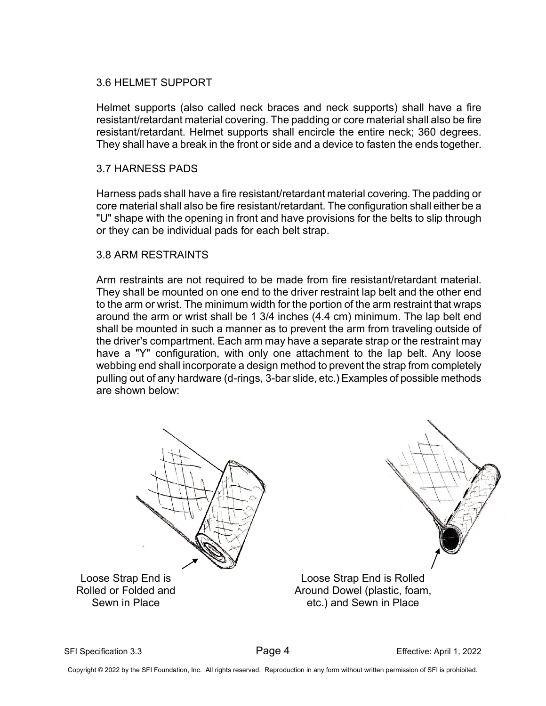# 3.6 HELMET SUPPORT

Helmet supports (also called neck braces and neck supports) shall have a fire resistant/retardant material covering. The padding or core material shall also be fire resistant/retardant. Helmet supports shall encircle the entire neck; 360 degrees. They shall have a break in the front or side and a device to fasten the ends together.

## 3.7 HARNESS PADS

Harness pads shall have a fire resistant/retardant material covering. The padding or core material shall also be fire resistant/retardant. The configuration shall either be a "U" shape with the opening in front and have provisions for the belts to slip through or they can be individual pads for each belt strap.

## 3.8 ARM RESTRAINTS

Arm restraints are not required to be made from fire resistant/retardant material. They shall be mounted on one end to the driver restraint lap belt and the other end to the arm or wrist. The minimum width for the portion of the arm restraint that wraps around the arm or wrist shall be 1 3/4 inches (4.4 cm) minimum. The lap belt end shall be mounted in such a manner as to prevent the arm from traveling outside of the driver's compartment. Each arm may have a separate strap or the restraint may have a "Y" configuration, with only one attachment to the lap belt. Any loose webbing end shall incorporate a design method to prevent the strap from completely pulling out of any hardware (d-rings, 3-bar slide, etc.) Examples of possible methods are shown below:



SFI Specification 3.3 Page 4 Effective: April 1, 2022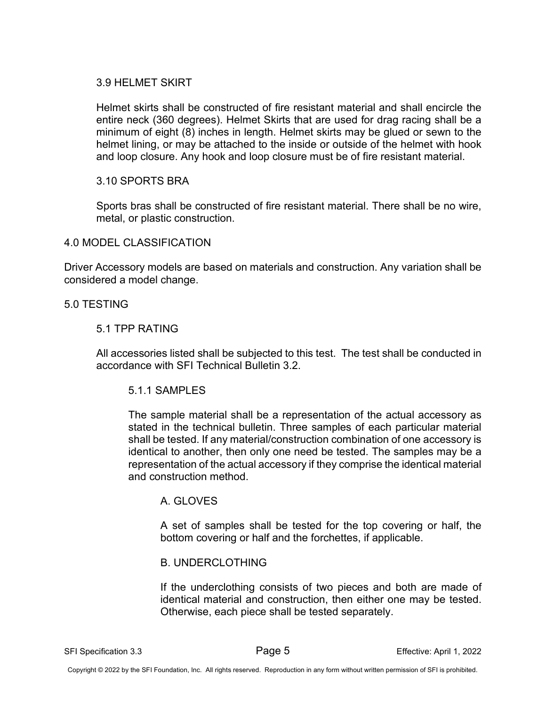# 3.9 HELMET SKIRT

Helmet skirts shall be constructed of fire resistant material and shall encircle the entire neck (360 degrees). Helmet Skirts that are used for drag racing shall be a minimum of eight (8) inches in length. Helmet skirts may be glued or sewn to the helmet lining, or may be attached to the inside or outside of the helmet with hook and loop closure. Any hook and loop closure must be of fire resistant material.

# 3.10 SPORTS BRA

Sports bras shall be constructed of fire resistant material. There shall be no wire, metal, or plastic construction.

# 4.0 MODEL CLASSIFICATION

Driver Accessory models are based on materials and construction. Any variation shall be considered a model change.

## 5.0 TESTING

## 5.1 TPP RATING

All accessories listed shall be subjected to this test. The test shall be conducted in accordance with SFI Technical Bulletin 3.2.

# 5.1.1 SAMPLES

The sample material shall be a representation of the actual accessory as stated in the technical bulletin. Three samples of each particular material shall be tested. If any material/construction combination of one accessory is identical to another, then only one need be tested. The samples may be a representation of the actual accessory if they comprise the identical material and construction method.

# A. GLOVES

A set of samples shall be tested for the top covering or half, the bottom covering or half and the forchettes, if applicable.

#### B. UNDERCLOTHING

If the underclothing consists of two pieces and both are made of identical material and construction, then either one may be tested. Otherwise, each piece shall be tested separately.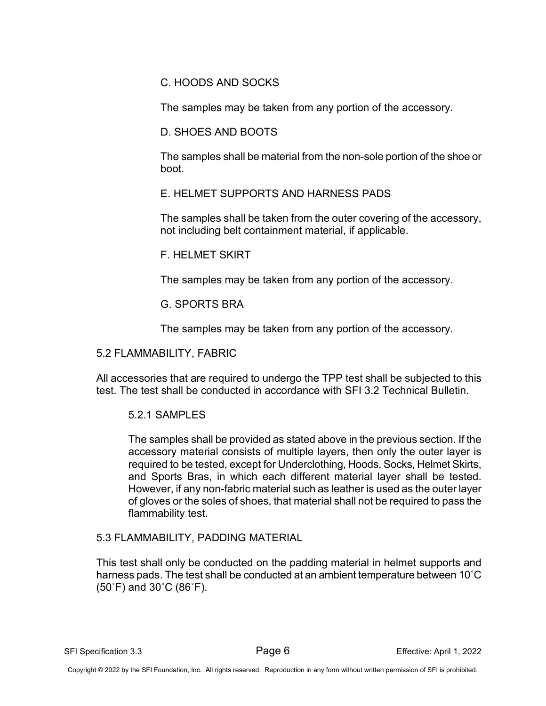C. HOODS AND SOCKS

The samples may be taken from any portion of the accessory.

D. SHOES AND BOOTS

The samples shall be material from the non-sole portion of the shoe or boot.

E. HELMET SUPPORTS AND HARNESS PADS

The samples shall be taken from the outer covering of the accessory, not including belt containment material, if applicable.

F. HELMET SKIRT

The samples may be taken from any portion of the accessory.

G. SPORTS BRA

The samples may be taken from any portion of the accessory.

# 5.2 FLAMMABILITY, FABRIC

All accessories that are required to undergo the TPP test shall be subjected to this test. The test shall be conducted in accordance with SFI 3.2 Technical Bulletin.

# 5.2.1 SAMPLES

The samples shall be provided as stated above in the previous section. If the accessory material consists of multiple layers, then only the outer layer is required to be tested, except for Underclothing, Hoods, Socks, Helmet Skirts, and Sports Bras, in which each different material layer shall be tested. However, if any non-fabric material such as leather is used as the outer layer of gloves or the soles of shoes, that material shall not be required to pass the flammability test.

# 5.3 FLAMMABILITY, PADDING MATERIAL

This test shall only be conducted on the padding material in helmet supports and harness pads. The test shall be conducted at an ambient temperature between 10˚C (50˚F) and 30˚C (86˚F).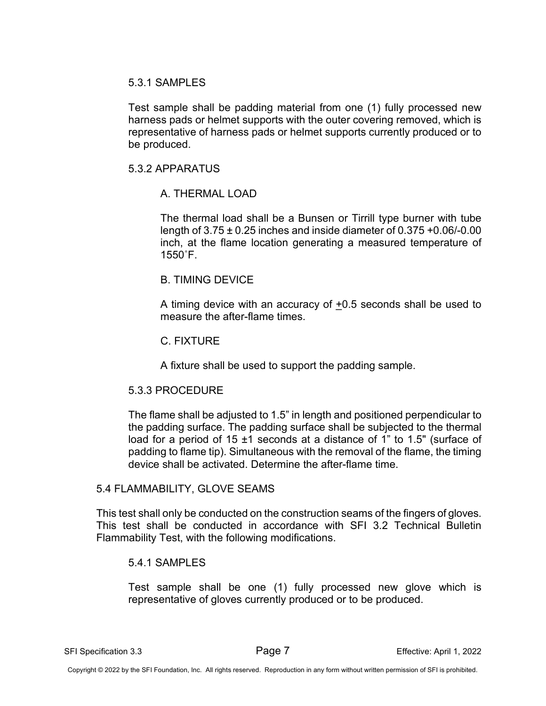#### 5.3.1 SAMPLES

Test sample shall be padding material from one (1) fully processed new harness pads or helmet supports with the outer covering removed, which is representative of harness pads or helmet supports currently produced or to be produced.

## 5.3.2 APPARATUS

# A. THERMAL LOAD

The thermal load shall be a Bunsen or Tirrill type burner with tube length of 3.75 ± 0.25 inches and inside diameter of 0.375 +0.06/-0.00 inch, at the flame location generating a measured temperature of 1550˚F.

## B. TIMING DEVICE

A timing device with an accuracy of  $+0.5$  seconds shall be used to measure the after-flame times.

#### C. FIXTURE

A fixture shall be used to support the padding sample.

# 5.3.3 PROCEDURE

The flame shall be adjusted to 1.5" in length and positioned perpendicular to the padding surface. The padding surface shall be subjected to the thermal load for a period of 15 ±1 seconds at a distance of 1" to 1.5" (surface of padding to flame tip). Simultaneous with the removal of the flame, the timing device shall be activated. Determine the after-flame time.

#### 5.4 FLAMMABILITY, GLOVE SEAMS

This test shall only be conducted on the construction seams of the fingers of gloves. This test shall be conducted in accordance with SFI 3.2 Technical Bulletin Flammability Test, with the following modifications.

#### 5.4.1 SAMPLES

Test sample shall be one (1) fully processed new glove which is representative of gloves currently produced or to be produced.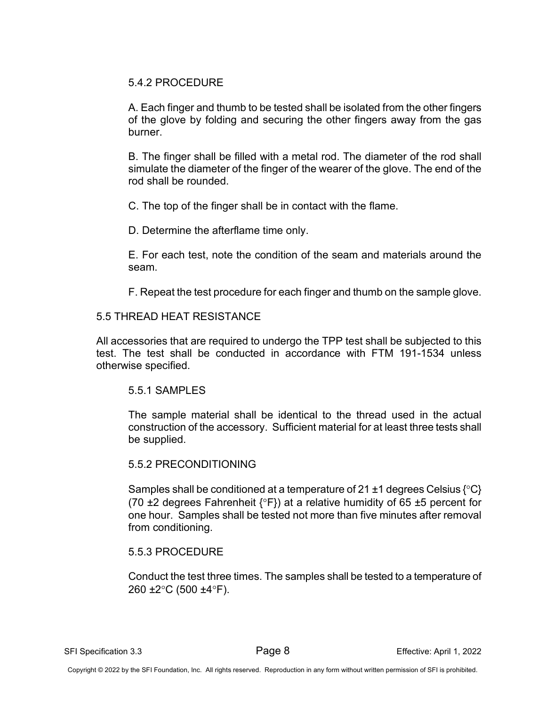# 5.4.2 PROCEDURE

A. Each finger and thumb to be tested shall be isolated from the other fingers of the glove by folding and securing the other fingers away from the gas burner.

B. The finger shall be filled with a metal rod. The diameter of the rod shall simulate the diameter of the finger of the wearer of the glove. The end of the rod shall be rounded.

C. The top of the finger shall be in contact with the flame.

D. Determine the afterflame time only.

E. For each test, note the condition of the seam and materials around the seam.

F. Repeat the test procedure for each finger and thumb on the sample glove.

# 5.5 THREAD HEAT RESISTANCE

All accessories that are required to undergo the TPP test shall be subjected to this test. The test shall be conducted in accordance with FTM 191-1534 unless otherwise specified.

# 5.5.1 SAMPLES

The sample material shall be identical to the thread used in the actual construction of the accessory. Sufficient material for at least three tests shall be supplied.

# 5.5.2 PRECONDITIONING

Samples shall be conditioned at a temperature of 21  $\pm$ 1 degrees Celsius { $^{\circ}$ C} (70  $\pm$ 2 degrees Fahrenheit  $\{^{\circ}F\}$ ) at a relative humidity of 65  $\pm$ 5 percent for one hour. Samples shall be tested not more than five minutes after removal from conditioning.

# 5.5.3 PROCEDURE

Conduct the test three times. The samples shall be tested to a temperature of 260 ±2°C (500 ±4°F).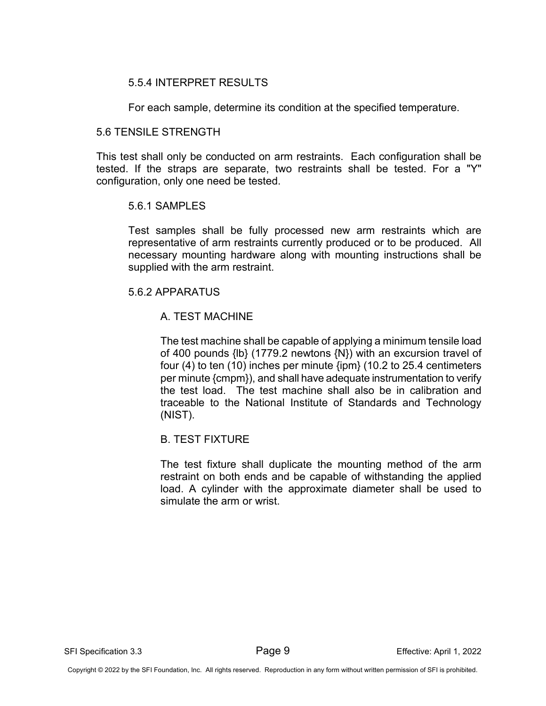# 5.5.4 INTERPRET RESULTS

For each sample, determine its condition at the specified temperature.

## 5.6 TENSILE STRENGTH

This test shall only be conducted on arm restraints. Each configuration shall be tested. If the straps are separate, two restraints shall be tested. For a "Y" configuration, only one need be tested.

## 5.6.1 SAMPLES

Test samples shall be fully processed new arm restraints which are representative of arm restraints currently produced or to be produced. All necessary mounting hardware along with mounting instructions shall be supplied with the arm restraint.

## 5.6.2 APPARATUS

# A. TEST MACHINE

The test machine shall be capable of applying a minimum tensile load of 400 pounds {lb} (1779.2 newtons {N}) with an excursion travel of four (4) to ten (10) inches per minute {ipm} (10.2 to 25.4 centimeters per minute {cmpm}), and shall have adequate instrumentation to verify the test load. The test machine shall also be in calibration and traceable to the National Institute of Standards and Technology (NIST).

# B. TEST FIXTURE

The test fixture shall duplicate the mounting method of the arm restraint on both ends and be capable of withstanding the applied load. A cylinder with the approximate diameter shall be used to simulate the arm or wrist.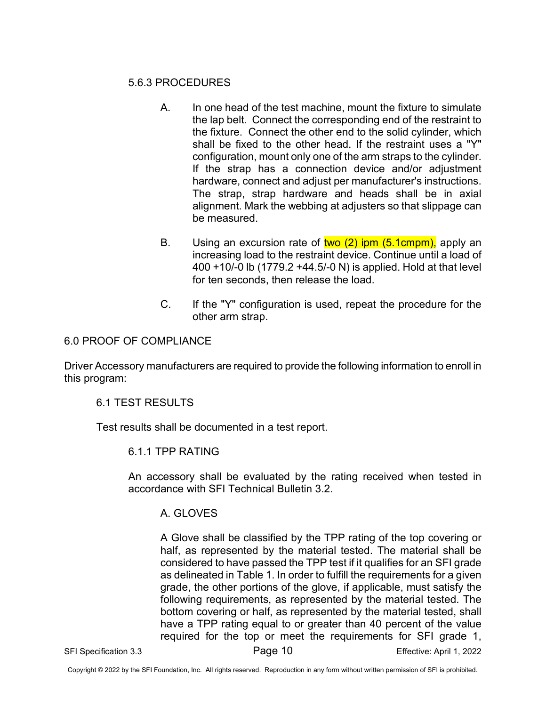# 5.6.3 PROCEDURES

- A. In one head of the test machine, mount the fixture to simulate the lap belt. Connect the corresponding end of the restraint to the fixture. Connect the other end to the solid cylinder, which shall be fixed to the other head. If the restraint uses a "Y" configuration, mount only one of the arm straps to the cylinder. If the strap has a connection device and/or adjustment hardware, connect and adjust per manufacturer's instructions. The strap, strap hardware and heads shall be in axial alignment. Mark the webbing at adjusters so that slippage can be measured.
- B. Using an excursion rate of  $two(2)$  ipm  $(5.1cmpm)$ , apply an increasing load to the restraint device. Continue until a load of 400 +10/-0 lb (1779.2 +44.5/-0 N) is applied. Hold at that level for ten seconds, then release the load.
- C. If the "Y" configuration is used, repeat the procedure for the other arm strap.

# 6.0 PROOF OF COMPLIANCE

Driver Accessory manufacturers are required to provide the following information to enroll in this program:

# 6.1 TEST RESULTS

Test results shall be documented in a test report.

# 6.1.1 TPP RATING

An accessory shall be evaluated by the rating received when tested in accordance with SFI Technical Bulletin 3.2.

# A. GLOVES

A Glove shall be classified by the TPP rating of the top covering or half, as represented by the material tested. The material shall be considered to have passed the TPP test if it qualifies for an SFI grade as delineated in Table 1. In order to fulfill the requirements for a given grade, the other portions of the glove, if applicable, must satisfy the following requirements, as represented by the material tested. The bottom covering or half, as represented by the material tested, shall have a TPP rating equal to or greater than 40 percent of the value required for the top or meet the requirements for SFI grade 1,

SFI Specification 3.3 Page 10 Effective: April 1, 2022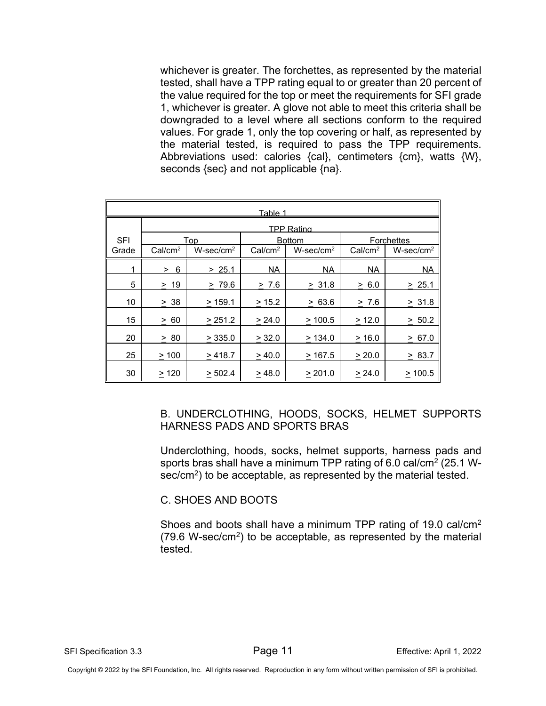whichever is greater. The forchettes, as represented by the material tested, shall have a TPP rating equal to or greater than 20 percent of the value required for the top or meet the requirements for SFI grade 1, whichever is greater. A glove not able to meet this criteria shall be downgraded to a level where all sections conform to the required values. For grade 1, only the top covering or half, as represented by the material tested, is required to pass the TPP requirements. Abbreviations used: calories {cal}, centimeters {cm}, watts {W}, seconds {sec} and not applicable {na}.

| <u>Table 1</u> |                     |                     |                     |                     |                     |                     |
|----------------|---------------------|---------------------|---------------------|---------------------|---------------------|---------------------|
|                | <b>TPP Rating</b>   |                     |                     |                     |                     |                     |
| <b>SFI</b>     | Top                 |                     | <b>Bottom</b>       |                     | <b>Forchettes</b>   |                     |
| Grade          | Cal/cm <sup>2</sup> | $W\text{-sec/cm}^2$ | Cal/cm <sup>2</sup> | $W\text{-sec/cm}^2$ | Cal/cm <sup>2</sup> | $W\text{-sec/cm}^2$ |
| 1              | 6<br>$\geq$         | > 25.1              | <b>NA</b>           | <b>NA</b>           | <b>NA</b>           | <b>NA</b>           |
| 5              | > 19                | > 79.6              | > 7.6               | > 31.8              | 6.0<br>$\geq$       | > 25.1              |
| 10             | > 38                | > 159.1             | > 15.2              | > 63.6              | > 7.6               | > 31.8              |
| 15             | 60<br>$\geq$        | > 251.2             | > 24.0              | >100.5              | > 12.0              | > 50.2              |
| 20             | > 80                | > 335.0             | > 32.0              | > 134.0             | >16.0               | > 67.0              |
| 25             | >100                | >418.7              | >40.0               | >167.5              | > 20.0              | > 83.7              |
| 30             | >120                | > 502.4             | > 48.0              | > 201.0             | > 24.0              | >100.5              |

B. UNDERCLOTHING, HOODS, SOCKS, HELMET SUPPORTS HARNESS PADS AND SPORTS BRAS

Underclothing, hoods, socks, helmet supports, harness pads and sports bras shall have a minimum TPP rating of 6.0 cal/cm<sup>2</sup> (25.1 Wsec/cm<sup>2</sup>) to be acceptable, as represented by the material tested.

C. SHOES AND BOOTS

Shoes and boots shall have a minimum TPP rating of 19.0 cal/cm2  $(79.6 \text{ W}-\text{sec/cm}^2)$  to be acceptable, as represented by the material tested.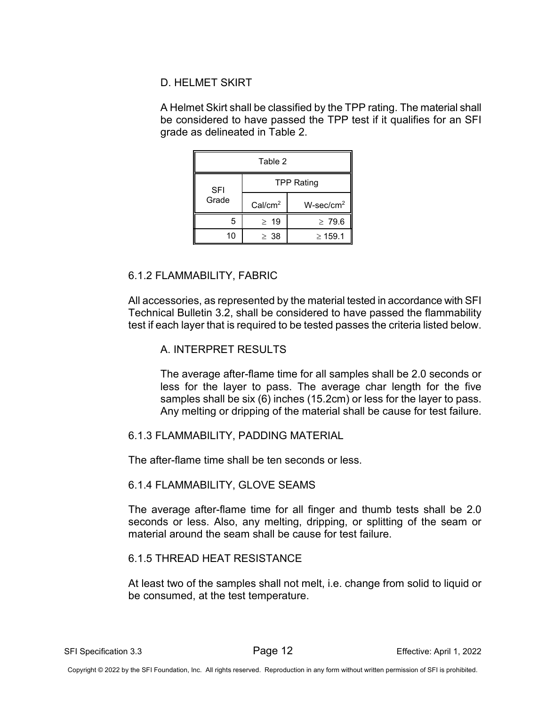# D. HELMET SKIRT

A Helmet Skirt shall be classified by the TPP rating. The material shall be considered to have passed the TPP test if it qualifies for an SFI grade as delineated in Table 2.

| Table 2    |                     |                     |  |  |  |
|------------|---------------------|---------------------|--|--|--|
| <b>SFI</b> | <b>TPP Rating</b>   |                     |  |  |  |
| Grade      | Cal/cm <sup>2</sup> | $W\text{-sec/cm}^2$ |  |  |  |
| 5          | $\geq 19$           | $\geq 79.6$         |  |  |  |
| 10         | $\geq 38$           | $\geq 159.1$        |  |  |  |

# 6.1.2 FLAMMABILITY, FABRIC

All accessories, as represented by the material tested in accordance with SFI Technical Bulletin 3.2, shall be considered to have passed the flammability test if each layer that is required to be tested passes the criteria listed below.

# A. INTERPRET RESULTS

The average after-flame time for all samples shall be 2.0 seconds or less for the layer to pass. The average char length for the five samples shall be six (6) inches (15.2cm) or less for the layer to pass. Any melting or dripping of the material shall be cause for test failure.

# 6.1.3 FLAMMABILITY, PADDING MATERIAL

The after-flame time shall be ten seconds or less.

# 6.1.4 FLAMMABILITY, GLOVE SEAMS

The average after-flame time for all finger and thumb tests shall be 2.0 seconds or less. Also, any melting, dripping, or splitting of the seam or material around the seam shall be cause for test failure.

# 6.1.5 THREAD HEAT RESISTANCE

At least two of the samples shall not melt, i.e. change from solid to liquid or be consumed, at the test temperature.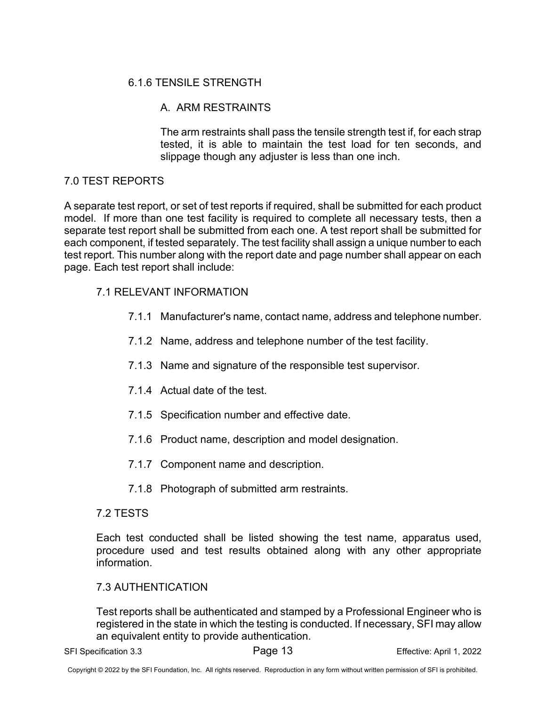# 6.1.6 TENSILE STRENGTH

# A. ARM RESTRAINTS

The arm restraints shall pass the tensile strength test if, for each strap tested, it is able to maintain the test load for ten seconds, and slippage though any adjuster is less than one inch.

# 7.0 TEST REPORTS

A separate test report, or set of test reports if required, shall be submitted for each product model. If more than one test facility is required to complete all necessary tests, then a separate test report shall be submitted from each one. A test report shall be submitted for each component, if tested separately. The test facility shall assign a unique number to each test report. This number along with the report date and page number shall appear on each page. Each test report shall include:

# 7.1 RELEVANT INFORMATION

- 7.1.1 Manufacturer's name, contact name, address and telephone number.
- 7.1.2 Name, address and telephone number of the test facility.
- 7.1.3 Name and signature of the responsible test supervisor.
- 7.1.4 Actual date of the test.
- 7.1.5 Specification number and effective date.
- 7.1.6 Product name, description and model designation.
- 7.1.7 Component name and description.
- 7.1.8 Photograph of submitted arm restraints.

# 7.2 TESTS

Each test conducted shall be listed showing the test name, apparatus used, procedure used and test results obtained along with any other appropriate information.

# 7.3 AUTHENTICATION

Test reports shall be authenticated and stamped by a Professional Engineer who is registered in the state in which the testing is conducted. If necessary, SFI may allow an equivalent entity to provide authentication.

SFI Specification 3.3 Page 13 Effective: April 1, 2022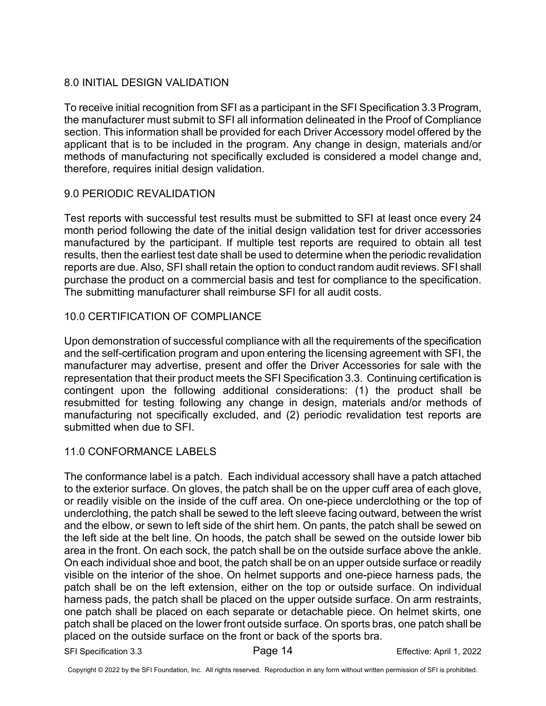# 8.0 INITIAL DESIGN VALIDATION

To receive initial recognition from SFI as a participant in the SFI Specification 3.3 Program, the manufacturer must submit to SFI all information delineated in the Proof of Compliance section. This information shall be provided for each Driver Accessory model offered by the applicant that is to be included in the program. Any change in design, materials and/or methods of manufacturing not specifically excluded is considered a model change and, therefore, requires initial design validation.

# 9.0 PERIODIC REVALIDATION

Test reports with successful test results must be submitted to SFI at least once every 24 month period following the date of the initial design validation test for driver accessories manufactured by the participant. If multiple test reports are required to obtain all test results, then the earliest test date shall be used to determine when the periodic revalidation reports are due. Also, SFI shall retain the option to conduct random audit reviews. SFI shall purchase the product on a commercial basis and test for compliance to the specification. The submitting manufacturer shall reimburse SFI for all audit costs.

# 10.0 CERTIFICATION OF COMPLIANCE

Upon demonstration of successful compliance with all the requirements of the specification and the self-certification program and upon entering the licensing agreement with SFI, the manufacturer may advertise, present and offer the Driver Accessories for sale with the representation that their product meets the SFI Specification 3.3. Continuing certification is contingent upon the following additional considerations: (1) the product shall be resubmitted for testing following any change in design, materials and/or methods of manufacturing not specifically excluded, and (2) periodic revalidation test reports are submitted when due to SFI.

# 11.0 CONFORMANCE LABELS

The conformance label is a patch. Each individual accessory shall have a patch attached to the exterior surface. On gloves, the patch shall be on the upper cuff area of each glove, or readily visible on the inside of the cuff area. On one-piece underclothing or the top of underclothing, the patch shall be sewed to the left sleeve facing outward, between the wrist and the elbow, or sewn to left side of the shirt hem. On pants, the patch shall be sewed on the left side at the belt line. On hoods, the patch shall be sewed on the outside lower bib area in the front. On each sock, the patch shall be on the outside surface above the ankle. On each individual shoe and boot, the patch shall be on an upper outside surface or readily visible on the interior of the shoe. On helmet supports and one-piece harness pads, the patch shall be on the left extension, either on the top or outside surface. On individual harness pads, the patch shall be placed on the upper outside surface. On arm restraints, one patch shall be placed on each separate or detachable piece. On helmet skirts, one patch shall be placed on the lower front outside surface. On sports bras, one patch shall be placed on the outside surface on the front or back of the sports bra.

SFI Specification 3.3 **Page 14** Page 14 Effective: April 1, 2022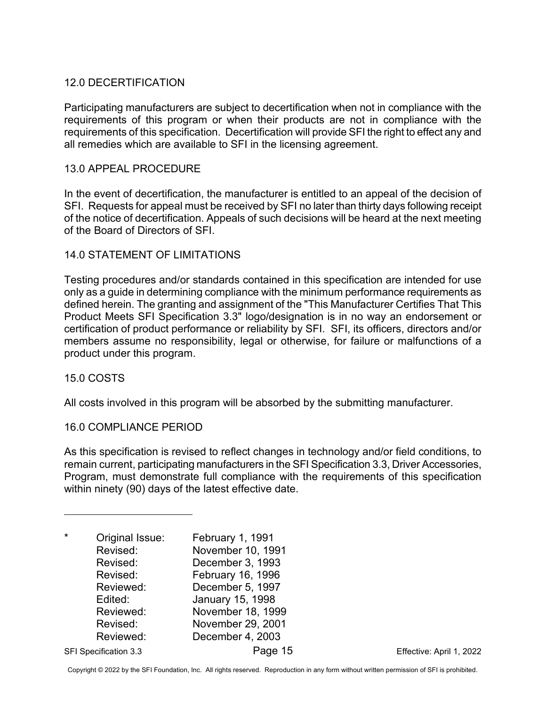# 12.0 DECERTIFICATION

Participating manufacturers are subject to decertification when not in compliance with the requirements of this program or when their products are not in compliance with the requirements of this specification. Decertification will provide SFI the right to effect any and all remedies which are available to SFI in the licensing agreement.

## 13.0 APPEAL PROCEDURE

In the event of decertification, the manufacturer is entitled to an appeal of the decision of SFI. Requests for appeal must be received by SFI no later than thirty days following receipt of the notice of decertification. Appeals of such decisions will be heard at the next meeting of the Board of Directors of SFI.

## 14.0 STATEMENT OF LIMITATIONS

Testing procedures and/or standards contained in this specification are intended for use only as a guide in determining compliance with the minimum performance requirements as defined herein. The granting and assignment of the "This Manufacturer Certifies That This Product Meets SFI Specification 3.3" logo/designation is in no way an endorsement or certification of product performance or reliability by SFI. SFI, its officers, directors and/or members assume no responsibility, legal or otherwise, for failure or malfunctions of a product under this program.

#### 15.0 COSTS

All costs involved in this program will be absorbed by the submitting manufacturer.

#### 16.0 COMPLIANCE PERIOD

As this specification is revised to reflect changes in technology and/or field conditions, to remain current, participating manufacturers in the SFI Specification 3.3, Driver Accessories, Program, must demonstrate full compliance with the requirements of this specification within ninety (90) days of the latest effective date.

<span id="page-14-0"></span>

| Original Issue:<br>Revised:<br>Revised:<br>Revised:<br>Reviewed:<br>Edited:<br>Reviewed:<br>Revised:<br>Reviewed: | <b>February 1, 1991</b><br>November 10, 1991<br>December 3, 1993<br>February 16, 1996<br>December 5, 1997<br>January 15, 1998<br>November 18, 1999<br>November 29, 2001<br>December 4, 2003 |
|-------------------------------------------------------------------------------------------------------------------|---------------------------------------------------------------------------------------------------------------------------------------------------------------------------------------------|
|                                                                                                                   |                                                                                                                                                                                             |

SFI Specification 3.3 **Page 15** Page 15 Effective: April 1, 2022